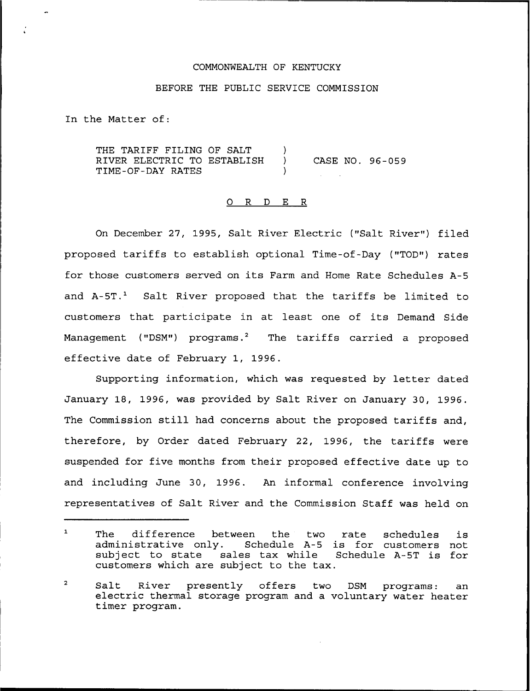## COMMONWEALTH OF KENTUCKY

## BEFORE THE PUBLIC SERVICE COMMISSION

In the Matter of:

THE TARIFF FILING OF SALT (1)<br>RIVER ELECTRIC TO ESTABLISH (1) RIVER ELECTRIC TO ESTABLISH ) CASE NO. 96-059 TIME-OF-DAY RATES )

## Q R D E R

On December 27, 1995, Salt River Electric ("Salt River") filed proposed tariffs to establish optional Time-of-Day ("TOD") rates for those customers served on its Farm and Home Rate Schedules A-5 and  $A-5T$ .<sup>1</sup> Salt River proposed that the tariffs be limited to customers that participate in at least one of its Demand Side Management ("DSM") programs.<sup>2</sup> The tariffs carried a proposed effective date of February 1, 1996.

Supporting information, which was requested by letter dated January 18, 1996, was provided by Salt River on January 30, 1996. The Commission still had concerns about the proposed tariffs and, therefore, by Order dated February 22, 1996, the tariffs were suspended for five months from their proposed effective date up to and including June 30, 1996. An informal conference involving representatives of Salt River and the Commission Staff was held on

The difference between the two rate schedules is  $\mathbf{1}$ The difference between the two rate schedules is<br>administrative only. Schedule A-5 is for customers not<br>subject to state sales tax while Schedule A-5T is for Schedule A-5T is for customers which are subject to the tax.

 $\overline{a}$ Salt River presently offers two DSM programs: an electric thermal storage program and <sup>a</sup> voluntary water heater timer program.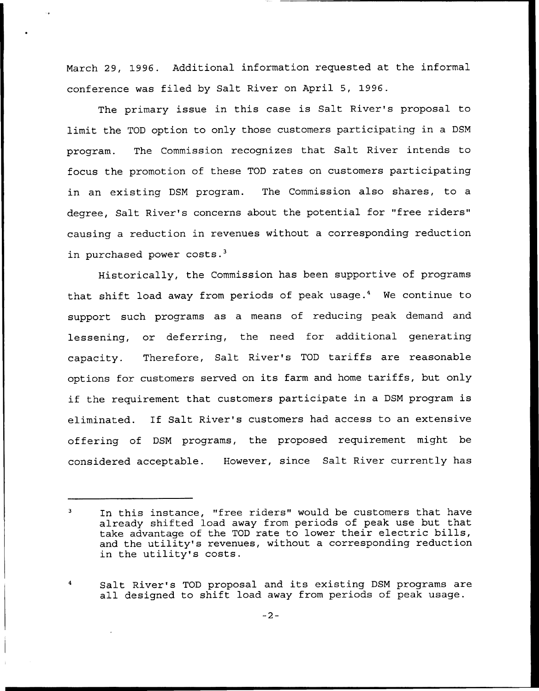March 29, 1996. Additional information requested at the informal conference was filed by Salt River on April 5, 1996.

The primary issue in this case is Salt River's proposal to limit the TOD option to only those customers participating in a DSM program. The Commission recognizes that Salt River intends to focus the promotion of these TOD rates on customers participating in an existing DSM program. The Commission also shares, to a degree, Salt River's concerns about the potential for "free riders" causing a reduction in revenues without a corresponding reduction in purchased power costs.<sup>3</sup>

Historically, the Commission has been supportive of programs that shift load away from periods of peak usage.4 We continue to support such programs as a means of reducing peak demand and lessening, or deferring, the need for additional generating capacity. Therefore, Salt River's TOD tariffs are reasonable options for customers served on its farm and home tariffs, but only if the requirement that customers participate in <sup>a</sup> DSM program is eliminated. If Salt River's customers had access to an extensive offering of DSM programs, the proposed requirement might be considered acceptable. However, since Salt River currently has

Salt River's TOD proposal and its existing DSM programs are all designed to shift load away from periods of peak usage.

 $\mathbf{a}$ In this instance, "free riders" would be customers that have already shifted load away from periods of peak use but that take advantage of the TOD rate to lower their electric bills, and the utility's revenues, without a corresponding reduction in the utility's costs.